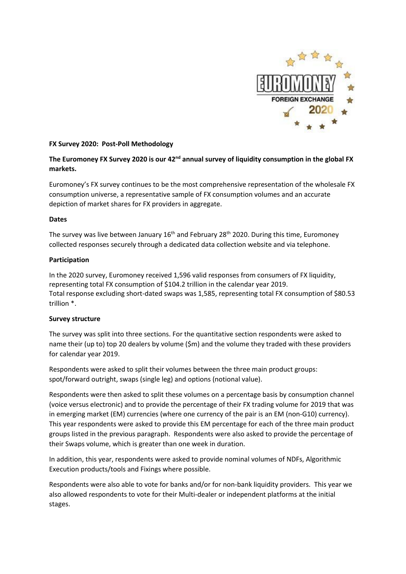

# **FX Survey 2020: Post-Poll Methodology**

# The Euromoney FX Survey 2020 is our 42<sup>nd</sup> annual survey of liquidity consumption in the global FX **markets.**

Euromoney's FX survey continues to be the most comprehensive representation of the wholesale FX consumption universe, a representative sample of FX consumption volumes and an accurate depiction of market shares for FX providers in aggregate.

# **Dates**

The survey was live between January 16<sup>th</sup> and February 28<sup>th</sup> 2020. During this time, Euromoney collected responses securely through a dedicated data collection website and via telephone.

# **Participation**

In the 2020 survey, Euromoney received 1,596 valid responses from consumers of FX liquidity, representing total FX consumption of \$104.2 trillion in the calendar year 2019. Total response excluding short-dated swaps was 1,585, representing total FX consumption of \$80.53 trillion \*.

### **Survey structure**

The survey was split into three sections. For the quantitative section respondents were asked to name their (up to) top 20 dealers by volume (\$m) and the volume they traded with these providers for calendar year 2019.

Respondents were asked to split their volumes between the three main product groups: spot/forward outright, swaps (single leg) and options (notional value).

Respondents were then asked to split these volumes on a percentage basis by consumption channel (voice versus electronic) and to provide the percentage of their FX trading volume for 2019 that was in emerging market (EM) currencies (where one currency of the pair is an EM (non-G10) currency). This year respondents were asked to provide this EM percentage for each of the three main product groups listed in the previous paragraph. Respondents were also asked to provide the percentage of their Swaps volume, which is greater than one week in duration.

In addition, this year, respondents were asked to provide nominal volumes of NDFs, Algorithmic Execution products/tools and Fixings where possible.

Respondents were also able to vote for banks and/or for non-bank liquidity providers. This year we also allowed respondents to vote for their Multi-dealer or independent platforms at the initial stages.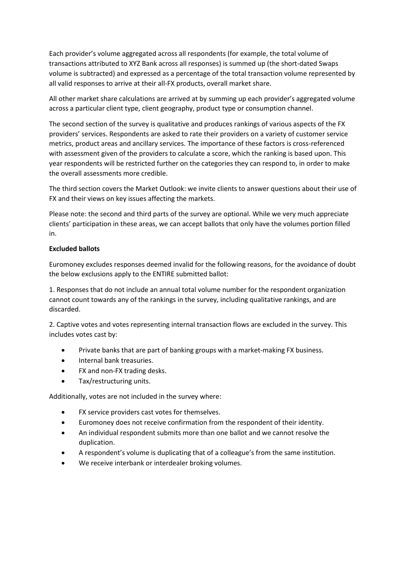Each provider's volume aggregated across all respondents (for example, the total volume of transactions attributed to XYZ Bank across all responses) is summed up (the short-dated Swaps volume is subtracted) and expressed as a percentage of the total transaction volume represented by all valid responses to arrive at their all-FX products, overall market share.

All other market share calculations are arrived at by summing up each provider's aggregated volume across a particular client type, client geography, product type or consumption channel.

The second section of the survey is qualitative and produces rankings of various aspects of the FX providers' services. Respondents are asked to rate their providers on a variety of customer service metrics, product areas and ancillary services. The importance of these factors is cross-referenced with assessment given of the providers to calculate a score, which the ranking is based upon. This year respondents will be restricted further on the categories they can respond to, in order to make the overall assessments more credible.

The third section covers the Market Outlook: we invite clients to answer questions about their use of FX and their views on key issues affecting the markets.

Please note: the second and third parts of the survey are optional. While we very much appreciate clients' participation in these areas, we can accept ballots that only have the volumes portion filled in.

# **Excluded ballots**

Euromoney excludes responses deemed invalid for the following reasons, for the avoidance of doubt the below exclusions apply to the ENTIRE submitted ballot:

1. Responses that do not include an annual total volume number for the respondent organization cannot count towards any of the rankings in the survey, including qualitative rankings, and are discarded.

2. Captive votes and votes representing internal transaction flows are excluded in the survey. This includes votes cast by:

- Private banks that are part of banking groups with a market-making FX business.
- **•** Internal bank treasuries.
- FX and non-FX trading desks.
- Tax/restructuring units.

Additionally, votes are not included in the survey where:

- FX service providers cast votes for themselves.
- Euromoney does not receive confirmation from the respondent of their identity.
- An individual respondent submits more than one ballot and we cannot resolve the duplication.
- A respondent's volume is duplicating that of a colleague's from the same institution.
- We receive interbank or interdealer broking volumes.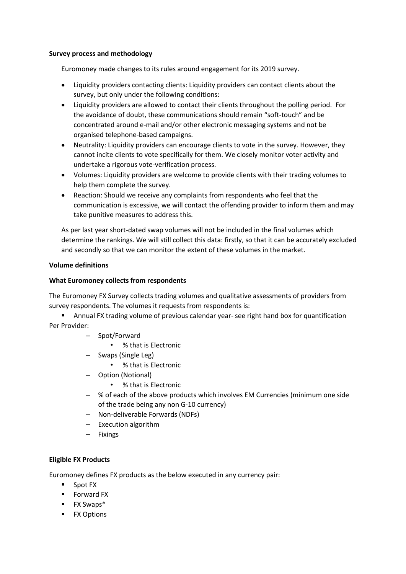### **Survey process and methodology**

Euromoney made changes to its rules around engagement for its 2019 survey.

- Liquidity providers contacting clients: Liquidity providers can contact clients about the survey, but only under the following conditions:
- Liquidity providers are allowed to contact their clients throughout the polling period. For the avoidance of doubt, these communications should remain "soft-touch" and be concentrated around e-mail and/or other electronic messaging systems and not be organised telephone-based campaigns.
- Neutrality: Liquidity providers can encourage clients to vote in the survey. However, they cannot incite clients to vote specifically for them. We closely monitor voter activity and undertake a rigorous vote-verification process.
- Volumes: Liquidity providers are welcome to provide clients with their trading volumes to help them complete the survey.
- Reaction: Should we receive any complaints from respondents who feel that the communication is excessive, we will contact the offending provider to inform them and may take punitive measures to address this.

As per last year short-dated swap volumes will not be included in the final volumes which determine the rankings. We will still collect this data: firstly, so that it can be accurately excluded and secondly so that we can monitor the extent of these volumes in the market.

# **Volume definitions**

# **What Euromoney collects from respondents**

The Euromoney FX Survey collects trading volumes and qualitative assessments of providers from survey respondents. The volumes it requests from respondents is:

 Annual FX trading volume of previous calendar year- see right hand box for quantification Per Provider:

- Spot/Forward
	- % that is Electronic
- Swaps (Single Leg)
	- % that is Electronic
- Option (Notional)
	- % that is Electronic
- % of each of the above products which involves EM Currencies (minimum one side of the trade being any non G-10 currency)
- Non-deliverable Forwards (NDFs)
- Execution algorithm
- Fixings

### **Eligible FX Products**

Euromoney defines FX products as the below executed in any currency pair:

- **Spot FX**
- **Forward FX**
- **FX Swaps\***
- **FX Options**